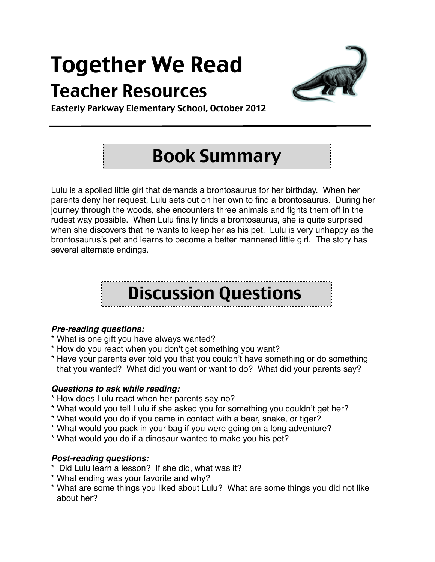# Together We Read

### Teacher Resources



Easterly Parkway Elementary School, October 2012

## Book Summary

Lulu is a spoiled little girl that demands a brontosaurus for her birthday. When her parents deny her request, Lulu sets out on her own to find a brontosaurus. During her journey through the woods, she encounters three animals and fights them off in the rudest way possible. When Lulu finally finds a brontosaurus, she is quite surprised when she discovers that he wants to keep her as his pet. Lulu is very unhappy as the brontosaurus's pet and learns to become a better mannered little girl. The story has several alternate endings.

## Discussion Questions

#### *Pre-reading questions:*

- \* What is one gift you have always wanted?
- \* How do you react when you don't get something you want?
- \* Have your parents ever told you that you couldn't have something or do something that you wanted? What did you want or want to do? What did your parents say?

#### *Questions to ask while reading:*

- \* How does Lulu react when her parents say no?
- \* What would you tell Lulu if she asked you for something you couldn't get her?
- \* What would you do if you came in contact with a bear, snake, or tiger?
- \* What would you pack in your bag if you were going on a long adventure?
- \* What would you do if a dinosaur wanted to make you his pet?

#### *Post-reading questions:*

- \* Did Lulu learn a lesson? If she did, what was it?
- \* What ending was your favorite and why?
- \* What are some things you liked about Lulu? What are some things you did not like about her?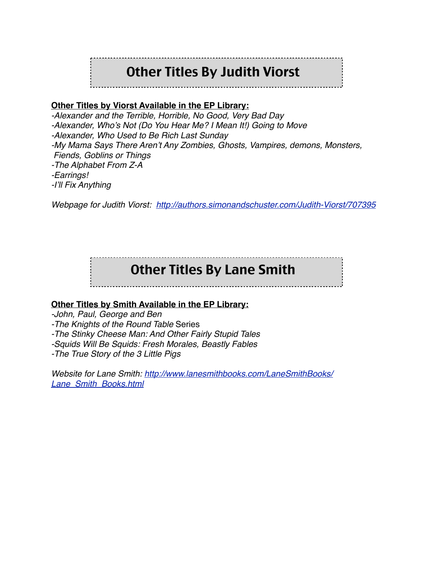### Other Titles By Judith Viorst

#### **Other Titles by Viorst Available in the EP Library:**

*-Alexander and the Terrible, Horrible, No Good, Very Bad Day -Alexander, Who's Not (Do You Hear Me? I Mean It!) Going to Move -Alexander, Who Used to Be Rich Last Sunday -My Mama Says There Aren't Any Zombies, Ghosts, Vampires, demons, Monsters, Fiends, Goblins or Things -The Alphabet From Z-A -Earrings! -I'll Fix Anything*

*Webpage for Judith Viorst: <http://authors.simonandschuster.com/Judith-Viorst/707395>*

### Other Titles By Lane Smith

#### **Other Titles by Smith Available in the EP Library:**

*-John, Paul, George and Ben*

*-The Knights of the Round Table* Series

*-The Stinky Cheese Man: And Other Fairly Stupid Tales*

*-Squids Will Be Squids: Fresh Morales, Beastly Fables*

*-The True Story of the 3 Little Pigs*

*Website for Lane Smith: [http://www.lanesmithbooks.com/LaneSmithBooks/](http://www.lanesmithbooks.com/LaneSmithBooks/Lane_Smith_Books.html) [Lane\\_Smith\\_Books.html](http://www.lanesmithbooks.com/LaneSmithBooks/Lane_Smith_Books.html)*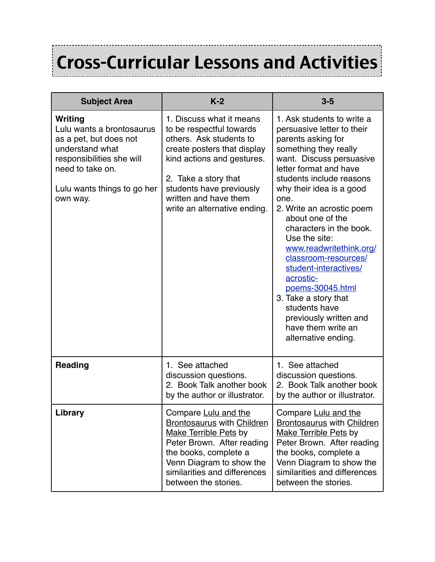# Cross-Curricular Lessons and Activities

--------------------------

| <b>Subject Area</b>                                                                                                                                                           | $K-2$                                                                                                                                                                                                                                                     | $3-5$                                                                                                                                                                                                                                                                                                                                                                                                                                                                                                                                                   |
|-------------------------------------------------------------------------------------------------------------------------------------------------------------------------------|-----------------------------------------------------------------------------------------------------------------------------------------------------------------------------------------------------------------------------------------------------------|---------------------------------------------------------------------------------------------------------------------------------------------------------------------------------------------------------------------------------------------------------------------------------------------------------------------------------------------------------------------------------------------------------------------------------------------------------------------------------------------------------------------------------------------------------|
| Writing<br>Lulu wants a brontosaurus<br>as a pet, but does not<br>understand what<br>responsibilities she will<br>need to take on.<br>Lulu wants things to go her<br>own way. | 1. Discuss what it means<br>to be respectful towards<br>others. Ask students to<br>create posters that display<br>kind actions and gestures.<br>2. Take a story that<br>students have previously<br>written and have them<br>write an alternative ending. | 1. Ask students to write a<br>persuasive letter to their<br>parents asking for<br>something they really<br>want. Discuss persuasive<br>letter format and have<br>students include reasons<br>why their idea is a good<br>one.<br>2. Write an acrostic poem<br>about one of the<br>characters in the book.<br>Use the site:<br>www.readwritethink.org/<br>classroom-resources/<br>student-interactives/<br>acrostic-<br>poems-30045.html<br>3. Take a story that<br>students have<br>previously written and<br>have them write an<br>alternative ending. |
| <b>Reading</b>                                                                                                                                                                | 1. See attached<br>discussion questions.<br>2. Book Talk another book<br>by the author or illustrator.                                                                                                                                                    | 1. See attached<br>discussion questions.<br>2. Book Talk another book<br>by the author or illustrator.                                                                                                                                                                                                                                                                                                                                                                                                                                                  |
| Library                                                                                                                                                                       | Compare Lulu and the<br><b>Brontosaurus with Children</b><br><b>Make Terrible Pets by</b><br>Peter Brown. After reading<br>the books, complete a<br>Venn Diagram to show the<br>similarities and differences<br>between the stories.                      | Compare Lulu and the<br><b>Brontosaurus with Children</b><br><b>Make Terrible Pets by</b><br>Peter Brown. After reading<br>the books, complete a<br>Venn Diagram to show the<br>similarities and differences<br>between the stories.                                                                                                                                                                                                                                                                                                                    |